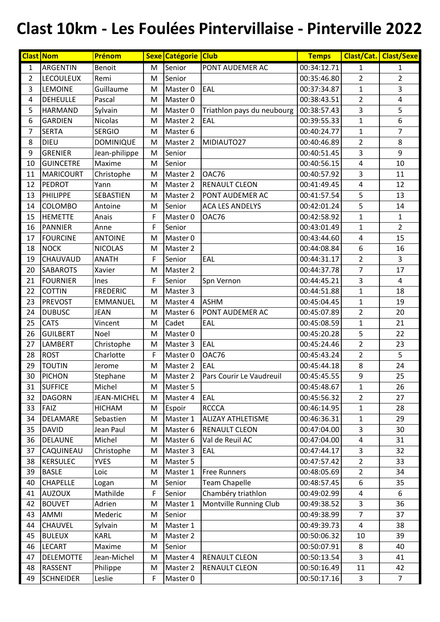## **Clast 10km - Les Foulées Pintervillaise - Pinterville 2022**

|                | <b>Clast Nom</b> | Prénom             |   | Sexe Catégorie Club |                            | <b>Temps</b> |                         | <b>Clast/Cat. Clast/Sexe</b> |
|----------------|------------------|--------------------|---|---------------------|----------------------------|--------------|-------------------------|------------------------------|
| 1              | ARGENTIN         | Benoit             | M | Senior              | PONT AUDEMER AC            | 00:34:12.71  | 1                       | $\mathbf{1}$                 |
| $\overline{2}$ | <b>LECOULEUX</b> | Remi               | M | Senior              |                            | 00:35:46.80  | $\overline{2}$          | $\overline{2}$               |
| 3              | <b>LEMOINE</b>   | Guillaume          | M | Master 0            | EAL                        | 00:37:34.87  | $\mathbf{1}$            | 3                            |
| 4              | <b>DEHEULLE</b>  | Pascal             | M | Master 0            |                            | 00:38:43.51  | $\overline{2}$          | $\overline{4}$               |
| 5              | <b>HARMAND</b>   | Sylvain            | M | Master 0            | Triathlon pays du neubourg | 00:38:57.43  | 3                       | 5                            |
| 6              | <b>GARDIEN</b>   | <b>Nicolas</b>     | M | Master 2            | EAL                        | 00:39:55.33  | $\mathbf{1}$            | 6                            |
| $\overline{7}$ | <b>SERTA</b>     | <b>SERGIO</b>      | M | Master 6            |                            | 00:40:24.77  | $\mathbf{1}$            | $\overline{7}$               |
| 8              | <b>DIEU</b>      | <b>DOMINIQUE</b>   | M | Master 2            | MIDIAUTO27                 | 00:40:46.89  | $\overline{2}$          | 8                            |
| 9              | <b>GRENIER</b>   | Jean-philippe      | M | Senior              |                            | 00:40:51.45  | 3                       | 9                            |
| 10             | <b>GUINCETRE</b> | Maxime             | M | Senior              |                            | 00:40:56.15  | $\overline{\mathbf{4}}$ | 10                           |
| 11             | <b>MARICOURT</b> | Christophe         | M | Master 2            | OAC76                      | 00:40:57.92  | 3                       | 11                           |
| 12             | <b>PEDROT</b>    | Yann               | M | Master 2            | <b>RENAULT CLEON</b>       | 00:41:49.45  | 4                       | 12                           |
| 13             | PHILIPPE         | SEBASTIEN          | M | Master 2            | PONT AUDEMER AC            | 00:41:57.54  | 5                       | 13                           |
| 14             | <b>COLOMBO</b>   | Antoine            | M | Senior              | <b>ACA LES ANDELYS</b>     | 00:42:01.24  | 5                       | 14                           |
| 15             | <b>HEMETTE</b>   | Anais              | F | Master 0            | OAC76                      | 00:42:58.92  | $\mathbf{1}$            | $\mathbf{1}$                 |
| 16             | <b>PANNIER</b>   | Anne               | F | Senior              |                            | 00:43:01.49  | $\mathbf{1}$            | $\overline{2}$               |
| 17             | <b>FOURCINE</b>  | <b>ANTOINE</b>     | M | Master 0            |                            | 00:43:44.60  | $\overline{\mathbf{4}}$ | 15                           |
| 18             | <b>NOCK</b>      | <b>NICOLAS</b>     | M | Master 2            |                            | 00:44:08.84  | 6                       | 16                           |
| 19             | <b>CHAUVAUD</b>  | <b>ANATH</b>       | F | Senior              | EAL                        | 00:44:31.17  | $\overline{2}$          | $\overline{3}$               |
| 20             | <b>SABAROTS</b>  | Xavier             | M | Master 2            |                            | 00:44:37.78  | $\overline{7}$          | 17                           |
| 21             | <b>FOURNIER</b>  | Ines               | F | Senior              | Spn Vernon                 | 00:44:45.21  | 3                       | $\overline{4}$               |
| 22             | <b>COTTIN</b>    | <b>FREDERIC</b>    | M | Master 3            |                            | 00:44:51.88  | $\mathbf{1}$            | 18                           |
| 23             | <b>PREVOST</b>   | <b>EMMANUEL</b>    | M | Master 4            | <b>ASHM</b>                | 00:45:04.45  | $\mathbf{1}$            | 19                           |
| 24             | <b>DUBUSC</b>    | <b>JEAN</b>        | M | Master 6            | PONT AUDEMER AC            | 00:45:07.89  | $\overline{2}$          | 20                           |
| 25             | <b>CATS</b>      | Vincent            | M | Cadet               | EAL                        | 00:45:08.59  | $\mathbf{1}$            | 21                           |
| 26             | <b>GUILBERT</b>  | Noel               | M | Master 0            |                            | 00:45:20.28  | 5                       | 22                           |
| 27             | <b>LAMBERT</b>   | Christophe         | M | Master 3            | EAL                        | 00:45:24.46  | $\overline{2}$          | 23                           |
| 28             | <b>ROST</b>      | Charlotte          | F | Master 0            | OAC76                      | 00:45:43.24  | $\overline{2}$          | 5                            |
| 29             | <b>TOUTIN</b>    | Jerome             | M | Master 2            | EAL                        | 00:45:44.18  | 8                       | 24                           |
| 30             | PICHON           | Stephane           | M | Master 2            | Pars Courir Le Vaudreuil   | 00:45:45.55  | 9                       | 25                           |
| 31             | <b>SUFFICE</b>   | Michel             | M | Master 5            |                            | 00:45:48.67  | $\mathbf{1}$            | 26                           |
| 32             | <b>DAGORN</b>    | <b>JEAN-MICHEL</b> | M | Master 4            | EAL                        | 00:45:56.32  | $\overline{2}$          | 27                           |
| 33             | FAIZ             | <b>HICHAM</b>      | M | Espoir              | <b>RCCCA</b>               | 00:46:14.95  | $\mathbf{1}$            | 28                           |
| 34             | DELAMARE         | Sebastien          | M | Master 1            | <b>ALIZAY ATHLETISME</b>   | 00:46:36.31  | $\mathbf{1}$            | 29                           |
| 35             | <b>DAVID</b>     | Jean Paul          | M | Master 6            | <b>RENAULT CLEON</b>       | 00:47:04.00  | 3                       | 30                           |
| 36             | <b>DELAUNE</b>   | Michel             | M | Master 6            | Val de Reuil AC            | 00:47:04.00  | 4                       | 31                           |
| 37             | CAQUINEAU        | Christophe         | M | Master 3            | EAL                        | 00:47:44.17  | 3                       | 32                           |
| 38             | <b>KERSULEC</b>  | <b>YVES</b>        | M | Master 5            |                            | 00:47:57.42  | $\overline{2}$          | 33                           |
| 39             | <b>BASLE</b>     | Loic               | M | Master 1            | <b>Free Runners</b>        | 00:48:05.69  | $\overline{2}$          | 34                           |
| 40             | <b>CHAPELLE</b>  | Logan              | M | Senior              | <b>Team Chapelle</b>       | 00:48:57.45  | 6                       | 35                           |
| 41             | <b>AUZOUX</b>    | Mathilde           | F | Senior              | Chambéry triathlon         | 00:49:02.99  | 4                       | 6                            |
| 42             | <b>BOUVET</b>    | Adrien             | M | Master 1            | Montville Running Club     | 00:49:38.52  | 3                       | 36                           |
| 43             | AMMI             | Mederic            | M | Senior              |                            | 00:49:38.99  | $\overline{7}$          | 37                           |
| 44             | <b>CHAUVEL</b>   | Sylvain            | M | Master 1            |                            | 00:49:39.73  | $\overline{4}$          | 38                           |
| 45             | <b>BULEUX</b>    | <b>KARL</b>        | M | Master 2            |                            | 00:50:06.32  | $10\,$                  | 39                           |
| 46             | <b>LECART</b>    | Maxime             | M | Senior              |                            | 00:50:07.91  | 8                       | 40                           |
| 47             | <b>DELEMOTTE</b> | Jean-Michel        | M | Master 4            | <b>RENAULT CLEON</b>       | 00:50:13.54  | 3                       | 41                           |
| 48             | <b>RASSENT</b>   | Philippe           | M | Master 2            | <b>RENAULT CLEON</b>       | 00:50:16.49  | 11                      | 42                           |
| 49             | <b>SCHNEIDER</b> | Leslie             | F | Master 0            |                            | 00:50:17.16  | $\overline{3}$          | $\overline{7}$               |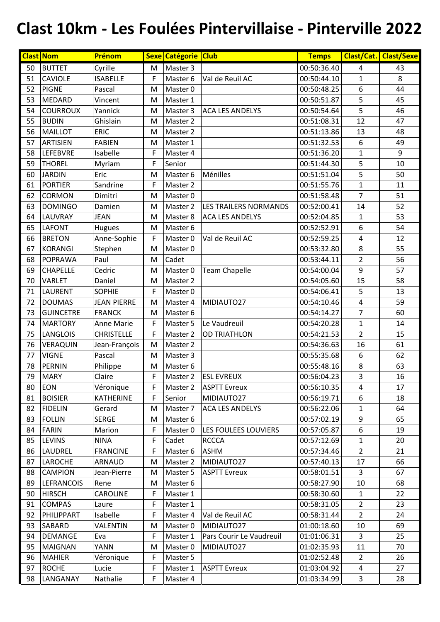## **Clast 10km - Les Foulées Pintervillaise - Pinterville 2022**

|    | <b>Clast Nom</b>  | Prénom             |    | Sexe Catégorie Club |                              | <b>Temps</b> |                         | <b>Clast/Cat. Clast/Sexe</b> |
|----|-------------------|--------------------|----|---------------------|------------------------------|--------------|-------------------------|------------------------------|
| 50 | <b>BUTTET</b>     | Cyrille            | M  | Master 3            |                              | 00:50:36.40  | 4                       | 43                           |
| 51 | <b>CAVIOLE</b>    | <b>ISABELLE</b>    | F  | Master 6            | Val de Reuil AC              | 00:50:44.10  | $\mathbf{1}$            | 8                            |
| 52 | <b>PIGNE</b>      | Pascal             | M  | Master 0            |                              | 00:50:48.25  | 6                       | 44                           |
| 53 | MEDARD            | Vincent            | M  | Master 1            |                              | 00:50:51.87  | 5                       | 45                           |
| 54 | <b>COURROUX</b>   | Yannick            | M  | Master 3            | <b>ACA LES ANDELYS</b>       | 00:50:54.64  | 5                       | 46                           |
| 55 | <b>BUDIN</b>      | Ghislain           | M  | Master 2            |                              | 00:51:08.31  | 12                      | 47                           |
| 56 | <b>MAILLOT</b>    | <b>ERIC</b>        | M  | Master 2            |                              | 00:51:13.86  | 13                      | 48                           |
| 57 | <b>ARTISIEN</b>   | <b>FABIEN</b>      | M  | Master 1            |                              | 00:51:32.53  | 6                       | 49                           |
| 58 | <b>LEFEBVRE</b>   | Isabelle           | F  | Master 4            |                              | 00:51:36.20  | $\mathbf{1}$            | 9                            |
| 59 | <b>THOREL</b>     | Myriam             | F  | Senior              |                              | 00:51:44.30  | 5                       | 10                           |
| 60 | <b>JARDIN</b>     | Eric               | M  | Master 6            | Ménilles                     | 00:51:51.04  | 5                       | 50                           |
| 61 | <b>PORTIER</b>    | Sandrine           | F  | Master 2            |                              | 00:51:55.76  | $\mathbf{1}$            | 11                           |
| 62 | <b>CORMON</b>     | Dimitri            | M  | Master 0            |                              | 00:51:58.48  | $\overline{7}$          | 51                           |
| 63 | <b>DOMINGO</b>    | Damien             | M  | Master 2            | <b>LES TRAILERS NORMANDS</b> | 00:52:00.41  | 14                      | 52                           |
| 64 | LAUVRAY           | <b>JEAN</b>        | M  | Master 8            | <b>ACA LES ANDELYS</b>       | 00:52:04.85  | $\mathbf{1}$            | 53                           |
| 65 | <b>LAFONT</b>     | Hugues             | M  | Master 6            |                              | 00:52:52.91  | 6                       | 54                           |
| 66 | <b>BRETON</b>     | Anne-Sophie        | F  | Master 0            | Val de Reuil AC              | 00:52:59.25  | $\overline{\mathbf{4}}$ | 12                           |
| 67 | <b>KORANGI</b>    | Stephen            | M  | Master 0            |                              | 00:53:32.80  | 8                       | 55                           |
| 68 | POPRAWA           | Paul               | M  | Cadet               |                              | 00:53:44.11  | $\overline{2}$          | 56                           |
| 69 | <b>CHAPELLE</b>   | Cedric             | M  | Master 0            | <b>Team Chapelle</b>         | 00:54:00.04  | 9                       | 57                           |
| 70 | <b>VARLET</b>     | Daniel             | M  | Master 2            |                              | 00:54:05.60  | 15                      | 58                           |
| 71 | <b>LAURENT</b>    | <b>SOPHIE</b>      | F  | Master 0            |                              | 00:54:06.41  | 5                       | 13                           |
| 72 | <b>DOUMAS</b>     | <b>JEAN PIERRE</b> | M  | Master 4            | MIDIAUTO27                   | 00:54:10.46  | 4                       | 59                           |
| 73 | <b>GUINCETRE</b>  | <b>FRANCK</b>      | M  | Master 6            |                              | 00:54:14.27  | $\overline{7}$          | 60                           |
| 74 | <b>MARTORY</b>    | <b>Anne Marie</b>  | F  | Master 5            | Le Vaudreuil                 | 00:54:20.28  | $\mathbf{1}$            | 14                           |
| 75 | <b>LANGLOIS</b>   | <b>CHRISTELLE</b>  | F  | Master 2            | <b>OD TRIATHLON</b>          | 00:54:21.53  | $\overline{2}$          | 15                           |
| 76 | VERAQUIN          | Jean-François      | M  | Master 2            |                              | 00:54:36.63  | 16                      | 61                           |
| 77 | <b>VIGNE</b>      | Pascal             | M  | Master 3            |                              | 00:55:35.68  | 6                       | 62                           |
| 78 | PERNIN            | Philippe           | M  | Master 6            |                              | 00:55:48.16  | 8                       | 63                           |
| 79 | <b>MARY</b>       | Claire             | F  | Master 2            | <b>ESL EVREUX</b>            | 00:56:04.23  | 3                       | 16                           |
| 80 | <b>EON</b>        | Véronique          | F. | Master 2            | <b>ASPTT Evreux</b>          | 00:56:10.35  | 4                       | 17                           |
| 81 | <b>BOISIER</b>    | <b>KATHERINE</b>   | F  | Senior              | MIDIAUTO27                   | 00:56:19.71  | 6                       | 18                           |
| 82 | <b>FIDELIN</b>    | Gerard             | M  | Master 7            | <b>ACA LES ANDELYS</b>       | 00:56:22.06  | $\mathbf{1}$            | 64                           |
| 83 | <b>FOLLIN</b>     | <b>SERGE</b>       | M  | Master 6            |                              | 00:57:02.19  | 9                       | 65                           |
| 84 | <b>FARIN</b>      | Marion             | F. | Master 0            | LES FOULEES LOUVIERS         | 00:57:05.87  | 6                       | 19                           |
| 85 | <b>LEVINS</b>     | <b>NINA</b>        | F. | Cadet               | <b>RCCCA</b>                 | 00:57:12.69  | $\mathbf{1}$            | 20                           |
| 86 | LAUDREL           | <b>FRANCINE</b>    | F. | Master 6            | <b>ASHM</b>                  | 00:57:34.46  | $\overline{2}$          | 21                           |
| 87 | <b>LAROCHE</b>    | ARNAUD             | M  | Master 2            | MIDIAUTO27                   | 00:57:40.13  | 17                      | 66                           |
| 88 | <b>CAMPION</b>    | Jean-Pierre        | M  | Master 5            | <b>ASPTT Evreux</b>          | 00:58:01.51  | $\overline{3}$          | 67                           |
| 89 | <b>LEFRANCOIS</b> | Rene               | M  | Master 6            |                              | 00:58:27.90  | 10                      | 68                           |
| 90 | <b>HIRSCH</b>     | CAROLINE           | F. | Master 1            |                              | 00:58:30.60  | $\mathbf{1}$            | 22                           |
| 91 | <b>COMPAS</b>     | Laure              | F  | Master 1            |                              | 00:58:31.05  | $\overline{2}$          | 23                           |
| 92 | PHILIPPART        | Isabelle           | F. | Master 4            | Val de Reuil AC              | 00:58:31.44  | $\overline{2}$          | 24                           |
| 93 | <b>SABARD</b>     | VALENTIN           | M  | Master 0            | MIDIAUTO27                   | 01:00:18.60  | 10                      | 69                           |
| 94 | DEMANGE           | Eva                | F. | Master 1            | Pars Courir Le Vaudreuil     | 01:01:06.31  | 3                       | 25                           |
| 95 | <b>MAIGNAN</b>    | YANN               | M  | Master 0            | MIDIAUTO27                   | 01:02:35.93  | 11                      | 70                           |
| 96 | <b>MAHIER</b>     | Véronique          | F  | Master 5            |                              | 01:02:52.48  | $\overline{2}$          | 26                           |
| 97 | <b>ROCHE</b>      | Lucie              | F  | Master 1            | <b>ASPTT Evreux</b>          | 01:03:04.92  | 4                       | 27                           |
| 98 | LANGANAY          | Nathalie           | F  | Master 4            |                              | 01:03:34.99  | 3                       | 28                           |